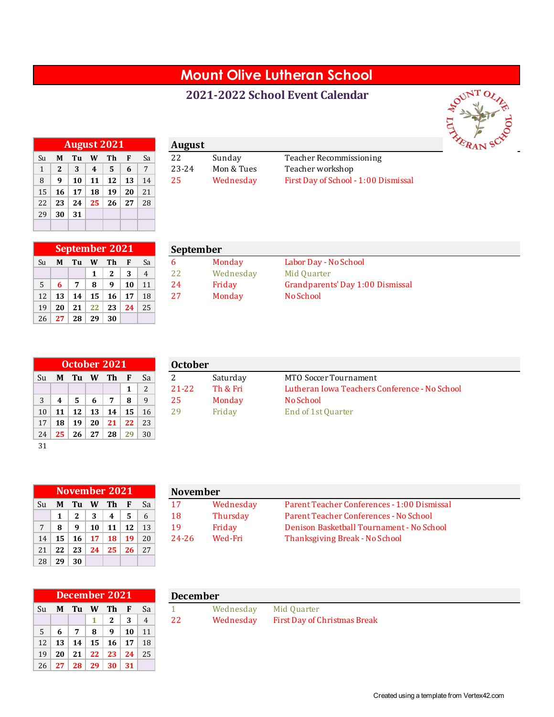## **Mount Olive Lutheran School**

## **2021-2022 School Event Calendar**



|              |              | <b>August 2021</b> |    |    |    |    |
|--------------|--------------|--------------------|----|----|----|----|
| Su           | М            | Tu                 | W  | Th | F  | Sa |
| $\mathbf{1}$ | $\mathbf{2}$ | 3                  | 4  | 5  | 6  | 7  |
| 8            | 9            | 10                 | 11 | 12 | 13 | 14 |
| 15           | 16           | 17                 | 18 | 19 | 20 | 21 |
| 22           | 23           | 24                 | 25 | 26 | 27 | 28 |
| 29           | 30           | 31                 |    |    |    |    |
|              |              |                    |    |    |    |    |

|   |            | <b>August 2021</b> |                   |                 |        |                               | August |            |                                      |
|---|------------|--------------------|-------------------|-----------------|--------|-------------------------------|--------|------------|--------------------------------------|
|   |            | Su <b>MTuWTh</b>   |                   |                 | 4 F.A  |                               | 22     | Sunday     | Teacher Recommissioning              |
|   | $\sqrt{2}$ | 3 <sup>7</sup>     | $\vert 4 \rangle$ | 5 <sup>5</sup>  | $-6$ 1 |                               | 23-24  | Mon & Tues | Teacher workshop                     |
| 8 |            |                    | 10   11           | 12 <sup>1</sup> |        | $\vert$ 13 $\vert$ 14 $\vert$ | 25     | Wednesday  | First Day of School - 1:00 Dismissal |
|   |            |                    |                   |                 |        |                               |        |            |                                      |

|    |    | <b>September 2021</b> |    |              |    |                |
|----|----|-----------------------|----|--------------|----|----------------|
| Su | M  | Tu                    | W  | Тh           | F  | Sa             |
|    |    |                       | 1  | $\mathbf{2}$ | 3  | $\overline{4}$ |
| 5  | 6  | 7                     | 8  | 9            | 10 | 11             |
| 12 | 13 | 14                    | 15 | 16           | 17 | 18             |
| 19 | 20 | 21                    | 22 | 23           | 24 | 25             |
| 26 | 27 | 28                    | 29 | 30           |    |                |

|                |       | September 2021 |    |          |    |       | <b>September</b> |           |                                  |  |
|----------------|-------|----------------|----|----------|----|-------|------------------|-----------|----------------------------------|--|
| Su             | M     | Tu             | W  | Th       |    | Sa    |                  | Monday    | Labor Day - No School            |  |
|                |       |                |    | C<br>▵   |    | 4     |                  | Wednesday | Mid Quarter                      |  |
| 5 <sup>1</sup> |       |                | 8  | $\Omega$ | 10 | 11    | 24               | Friday    | Grandparents' Day 1:00 Dismissal |  |
| 12             | 13    | 14             | 15 | 16       | 17 | 18    | 27               | Monday    | No School                        |  |
|                | ⊸ി ചെ | 24             | ີ  | ີ        |    | 24.25 |                  |           |                                  |  |

|    |    |    |    | October 2021 |    |              |
|----|----|----|----|--------------|----|--------------|
| Su | М  | Tu | W  | Th           | F  | Sa           |
|    |    |    |    |              | 1  | 2            |
| 3  | 4  | 5  | 6  | 7            | 8  | $\mathbf{q}$ |
| 10 | 11 | 12 | 13 | 14           | 15 | 16           |
| 17 | 18 | 19 | 20 | 21           | 22 | 23           |
| 24 | 25 | 26 | 27 | 28           | 29 | 30           |
| 31 |    |    |    |              |    |              |

|                 |     |    |    | October 2021 |    |    | <b>October</b> |          |                                               |
|-----------------|-----|----|----|--------------|----|----|----------------|----------|-----------------------------------------------|
| Su              | M   | Tu | W  | Th.          | F  | Sa |                | Saturday | MTO Soccer Tournament                         |
|                 |     |    |    |              |    |    | $21 - 22$      | Th & Fri | Lutheran Iowa Teachers Conference - No School |
| 3               |     |    |    |              | 8  |    | 25             | Monday   | No School                                     |
| 10 <sup>1</sup> |     | 12 | 13 | 14           | 15 | 16 | 29             | Fridav   | End of 1st Quarter                            |
| 17 <sup>1</sup> | -18 | 19 | 20 | 21           | 22 | 23 |                |          |                                               |

|    |    | November 2021 |                 |                 |    |     |
|----|----|---------------|-----------------|-----------------|----|-----|
| Su | М  |               | Tu W Th         |                 | -F | Sa  |
|    | 1  | 2             | 3               | 4               | -5 | 6   |
| 7  | 8  | 9             | 10              | 11 <sup>1</sup> | 12 | 13  |
| 14 | 15 | 16            | 17              | <b>18</b>       | 19 | 20  |
| 21 | 22 | 23            | 24 <sup>1</sup> | 25              | 26 | 2.7 |
| 28 | 29 | 30            |                 |                 |    |     |

|                |      | November 2021 |           |            |                 |    | <b>November</b> |           |                                             |
|----------------|------|---------------|-----------|------------|-----------------|----|-----------------|-----------|---------------------------------------------|
| Su             |      | M Tu W        |           | $\sqrt{r}$ | F               | Sa | 17              | Wednesday | Parent Teacher Conferences - 1:00 Dismissal |
|                |      | 2             |           | 4          | 5               | 6  | 18              | Thursday  | Parent Teacher Conferences - No School      |
| 7 <sup>1</sup> |      | -9            | 10        | 11         | 12 <sup>1</sup> | 13 | 19              | Friday    | Denison Basketball Tournament - No School   |
| 14             | 15   | 16            | <b>17</b> | 18         | 19              | 20 | 24-26           | Wed-Fri   | Thanksgiving Break - No School              |
|                | 2102 | ີ             | 24        |            | $25 \times 26$  |    |                 |           |                                             |

|    |    |    |    | <b>December 2021</b> |    |                |
|----|----|----|----|----------------------|----|----------------|
| Su | М  | Tu | W  | Th                   | F  | Sa             |
|    |    |    | 1  | $\mathbf{2}$         | 3  | $\overline{4}$ |
| .5 | 6  | 7  | 8  | 9                    | 10 | 11             |
| 12 | 13 | 14 | 15 | 16                   | 17 | 18             |
| 19 | 20 | 21 | 22 | 23                   | 24 | 25             |
| 26 | 27 | 28 | 29 | 30                   | 31 |                |

|  | December 2021            |  |   | <b>December</b> |                                        |
|--|--------------------------|--|---|-----------------|----------------------------------------|
|  | Su <b>M Tu W Th F</b> Sa |  |   |                 | Wednesday Mid Quarter                  |
|  |                          |  | 4 |                 | Wednesday First Day of Christmas Break |